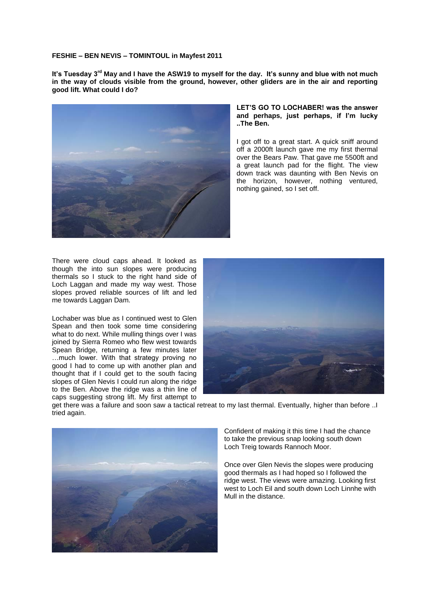## **FESHIE – BEN NEVIS – TOMINTOUL in Mayfest 2011**

**It's Tuesday 3rd May and I have the ASW19 to myself for the day. It's sunny and blue with not much in the way of clouds visible from the ground, however, other gliders are in the air and reporting good lift. What could I do?**



## **LET'S GO TO LOCHABER! was the answer and perhaps, just perhaps, if I'm lucky ..The Ben.**

I got off to a great start. A quick sniff around off a 2000ft launch gave me my first thermal over the Bears Paw. That gave me 5500ft and a great launch pad for the flight. The view down track was daunting with Ben Nevis on the horizon, however, nothing ventured, nothing gained, so I set off.

There were cloud caps ahead. It looked as though the into sun slopes were producing thermals so I stuck to the right hand side of Loch Laggan and made my way west. Those slopes proved reliable sources of lift and led me towards Laggan Dam.

Lochaber was blue as I continued west to Glen Spean and then took some time considering what to do next. While mulling things over I was joined by Sierra Romeo who flew west towards Spean Bridge, returning a few minutes later …much lower. With that strategy proving no good I had to come up with another plan and thought that if I could get to the south facing slopes of Glen Nevis I could run along the ridge to the Ben. Above the ridge was a thin line of caps suggesting strong lift. My first attempt to



get there was a failure and soon saw a tactical retreat to my last thermal. Eventually, higher than before ..I tried again.



Confident of making it this time I had the chance to take the previous snap looking south down Loch Treig towards Rannoch Moor.

Once over Glen Nevis the slopes were producing good thermals as I had hoped so I followed the ridge west. The views were amazing. Looking first west to Loch Eil and south down Loch Linnhe with Mull in the distance.